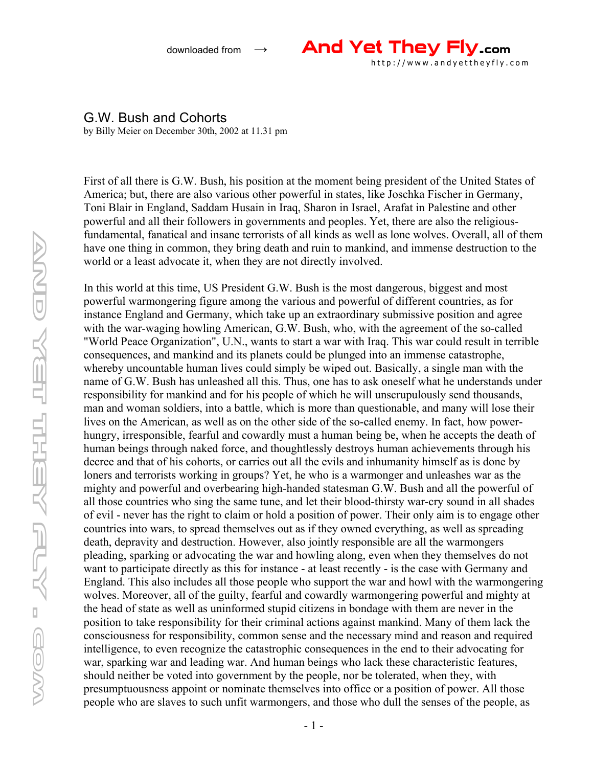

## G.W. Bush and Cohorts

by Billy Meier on December 30th, 2002 at 11.31 pm

First of all there is G.W. Bush, his position at the moment being president of the United States of America; but, there are also various other powerful in states, like Joschka Fischer in Germany, Toni Blair in England, Saddam Husain in Iraq, Sharon in Israel, Arafat in Palestine and other powerful and all their followers in governments and peoples. Yet, there are also the religiousfundamental, fanatical and insane terrorists of all kinds as well as lone wolves. Overall, all of them have one thing in common, they bring death and ruin to mankind, and immense destruction to the world or a least advocate it, when they are not directly involved.

In this world at this time, US President G.W. Bush is the most dangerous, biggest and most powerful warmongering figure among the various and powerful of different countries, as for instance England and Germany, which take up an extraordinary submissive position and agree with the war-waging howling American, G.W. Bush, who, with the agreement of the so-called "World Peace Organization", U.N., wants to start a war with Iraq. This war could result in terrible consequences, and mankind and its planets could be plunged into an immense catastrophe, whereby uncountable human lives could simply be wiped out. Basically, a single man with the name of G.W. Bush has unleashed all this. Thus, one has to ask oneself what he understands under responsibility for mankind and for his people of which he will unscrupulously send thousands, man and woman soldiers, into a battle, which is more than questionable, and many will lose their lives on the American, as well as on the other side of the so-called enemy. In fact, how powerhungry, irresponsible, fearful and cowardly must a human being be, when he accepts the death of human beings through naked force, and thoughtlessly destroys human achievements through his decree and that of his cohorts, or carries out all the evils and inhumanity himself as is done by loners and terrorists working in groups? Yet, he who is a warmonger and unleashes war as the mighty and powerful and overbearing high-handed statesman G.W. Bush and all the powerful of all those countries who sing the same tune, and let their blood-thirsty war-cry sound in all shades of evil - never has the right to claim or hold a position of power. Their only aim is to engage other countries into wars, to spread themselves out as if they owned everything, as well as spreading death, depravity and destruction. However, also jointly responsible are all the warmongers pleading, sparking or advocating the war and howling along, even when they themselves do not want to participate directly as this for instance - at least recently - is the case with Germany and England. This also includes all those people who support the war and howl with the warmongering wolves. Moreover, all of the guilty, fearful and cowardly warmongering powerful and mighty at the head of state as well as uninformed stupid citizens in bondage with them are never in the position to take responsibility for their criminal actions against mankind. Many of them lack the consciousness for responsibility, common sense and the necessary mind and reason and required intelligence, to even recognize the catastrophic consequences in the end to their advocating for war, sparking war and leading war. And human beings who lack these characteristic features, should neither be voted into government by the people, nor be tolerated, when they, with presumptuousness appoint or nominate themselves into office or a position of power. All those people who are slaves to such unfit warmongers, and those who dull the senses of the people, as